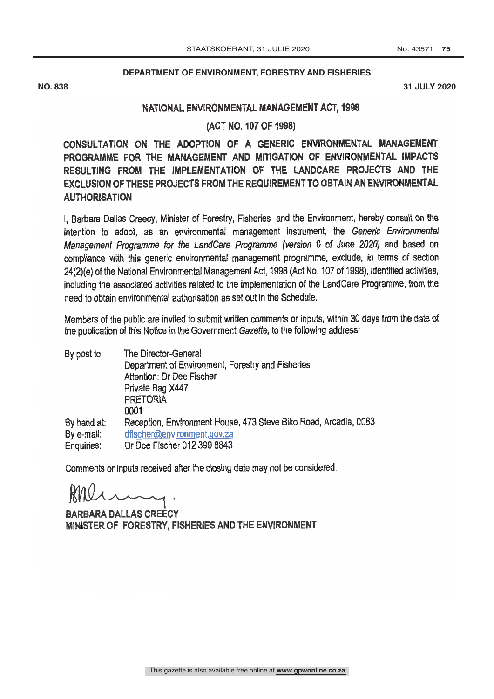## **DEPARTMENT OF ENVIRONMENT, FORESTRY AND FISHERIES**

**NO. 838 31 JULY 2020**

## NATIONAL ENVIRONMENTAL MANAGEMENT ACT, 1998

(ACT NO. 107 OF 1998)

CONSULTATION ON THE ADOPTION OF A GENERIC ENVIRONMENTAL MANAGEMENT PROGRAMME FOR THE MANAGEMENT AND MITIGATION OF ENVIRONMENTAL IMPACTS RESULTING FROM THE IMPLEMENTATION OF THE LANDCARE PROJECTS AND THE EXCLUSION OF THESE PROJECTS FROM THE REQUIREMENT TO OBTAIN AN ENVIRONMENTAL **AUTHORISATION** 

I, Barbara Dallas Creecy, Minister of Forestry, Fisheries and the Environment, hereby consult on the intention to adopt, as an environmental management instrument, the Generic Environmental Management Programme for the LandCare Programme (version 0 of June 2020) and based on compliance with this generic environmental management programme, exclude, in terms of section 24(2)(e) of the National Environmental Management Act, 1998 (Act No. 107 of 1998), identified activities, including the associated activities related to the implementation of the LandCare Programme, from the need to obtain environmental authorisation as set out in the Schedule.

Members of the public are invited to submit written comments or inputs, within 30 days from the date of the publication of this Notice in the Government Gazette, to the following address:

| By post to:       | The Director-General                                             |
|-------------------|------------------------------------------------------------------|
|                   | Department of Environment, Forestry and Fisheries                |
|                   | Attention: Dr Dee Fischer                                        |
|                   | Private Bag X447                                                 |
|                   | <b>PRETORIA</b>                                                  |
|                   | 0001                                                             |
| By hand at:       | Reception, Environment House, 473 Steve Biko Road, Arcadia, 0083 |
| By e-mail:        | dfischer@environment.gov.za                                      |
| <b>Enquiries:</b> | Dr Dee Fischer 012 399 8843                                      |
|                   |                                                                  |

Comments or inputs received after the closing date may not be considered.

BARBARA DALLAS CREECY MINISTER OF FORESTRY, FISHERIES AND THE ENVIRONMENT